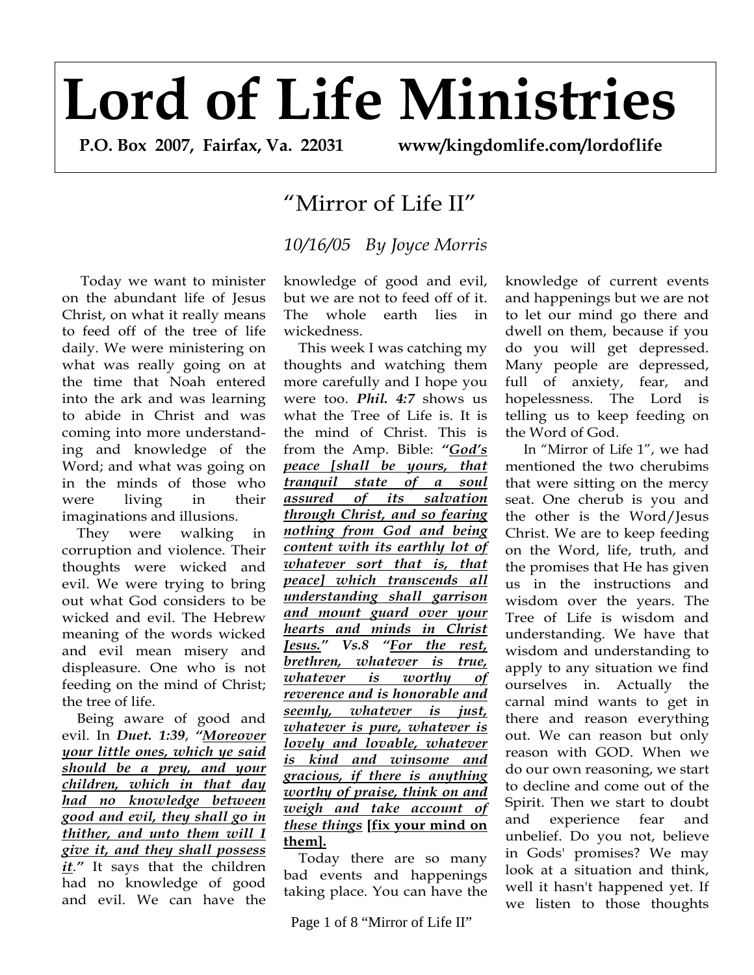## **Lord of Life Ministries**

 **P.O. Box 2007, Fairfax, Va. 22031 www/kingdomlife.com/lordoflife** 

## "Mirror of Life II"

## *10/16/05 By Joyce Morris*

 Today we want to minister on the abundant life of Jesus Christ, on what it really means to feed off of the tree of life daily. We were ministering on what was really going on at the time that Noah entered into the ark and was learning to abide in Christ and was coming into more understanding and knowledge of the Word; and what was going on in the minds of those who were living in their imaginations and illusions.

 They were walking in corruption and violence. Their thoughts were wicked and evil. We were trying to bring out what God considers to be wicked and evil. The Hebrew meaning of the words wicked and evil mean misery and displeasure. One who is not feeding on the mind of Christ; the tree of life.

 Being aware of good and evil. In *Duet. 1:39*, *"Moreover your little ones, which ye said should be a prey, and your children, which in that day had no knowledge between good and evil, they shall go in thither, and unto them will I give it, and they shall possess it*.*"* It says that the children had no knowledge of good and evil. We can have the

knowledge of good and evil, but we are not to feed off of it. The whole earth lies in wickedness.

 This week I was catching my thoughts and watching them more carefully and I hope you were too. *Phil. 4:7* shows us what the Tree of Life is. It is the mind of Christ. This is from the Amp. Bible: *"God's peace [shall be yours, that tranquil state of a soul assured of its salvation through Christ, and so fearing nothing from God and being content with its earthly lot of whatever sort that is, that peace] which transcends all understanding shall garrison and mount guard over your hearts and minds in Christ Jesus." Vs.8 "For the rest, brethren, whatever is true, whatever is worthy of reverence and is honorable and seemly, whatever is just, whatever is pure, whatever is lovely and lovable, whatever is kind and winsome and gracious, if there is anything worthy of praise, think on and weigh and take account of these things* **[fix your mind on them].**

 Today there are so many bad events and happenings taking place. You can have the

Page 1 of 8 "Mirror of Life II"

knowledge of current events and happenings but we are not to let our mind go there and dwell on them, because if you do you will get depressed. Many people are depressed, full of anxiety, fear, and hopelessness. The Lord is telling us to keep feeding on the Word of God.

 In "Mirror of Life 1", we had mentioned the two cherubims that were sitting on the mercy seat. One cherub is you and the other is the Word/Jesus Christ. We are to keep feeding on the Word, life, truth, and the promises that He has given us in the instructions and wisdom over the years. The Tree of Life is wisdom and understanding. We have that wisdom and understanding to apply to any situation we find ourselves in. Actually the carnal mind wants to get in there and reason everything out. We can reason but only reason with GOD. When we do our own reasoning, we start to decline and come out of the Spirit. Then we start to doubt and experience fear and unbelief. Do you not, believe in Gods' promises? We may look at a situation and think, well it hasn't happened yet. If we listen to those thoughts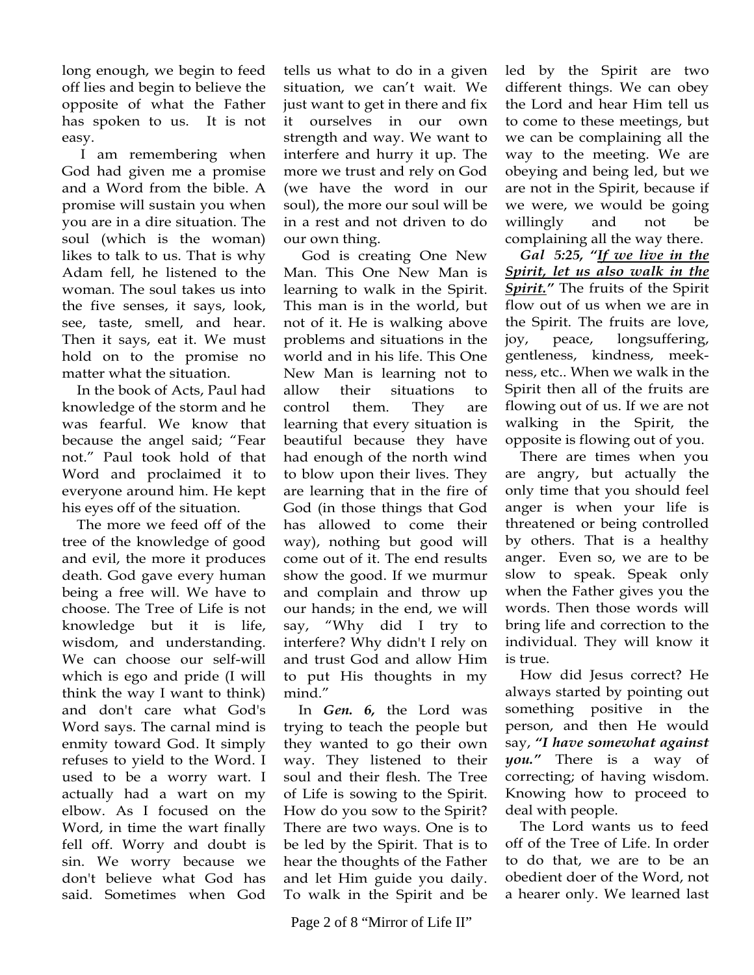long enough, we begin to feed off lies and begin to believe the opposite of what the Father has spoken to us. It is not easy.

 I am remembering when God had given me a promise and a Word from the bible. A promise will sustain you when you are in a dire situation. The soul (which is the woman) likes to talk to us. That is why Adam fell, he listened to the woman. The soul takes us into the five senses, it says, look, see, taste, smell, and hear. Then it says, eat it. We must hold on to the promise no matter what the situation.

 In the book of Acts, Paul had knowledge of the storm and he was fearful. We know that because the angel said; "Fear not." Paul took hold of that Word and proclaimed it to everyone around him. He kept his eyes off of the situation.

 The more we feed off of the tree of the knowledge of good and evil, the more it produces death. God gave every human being a free will. We have to choose. The Tree of Life is not knowledge but it is life, wisdom, and understanding. We can choose our self-will which is ego and pride (I will think the way I want to think) and don't care what God's Word says. The carnal mind is enmity toward God. It simply refuses to yield to the Word. I used to be a worry wart. I actually had a wart on my elbow. As I focused on the Word, in time the wart finally fell off. Worry and doubt is sin. We worry because we don't believe what God has said. Sometimes when God

tells us what to do in a given situation, we can't wait. We just want to get in there and fix it ourselves in our own strength and way. We want to interfere and hurry it up. The more we trust and rely on God (we have the word in our soul), the more our soul will be in a rest and not driven to do our own thing.

 God is creating One New Man. This One New Man is learning to walk in the Spirit. This man is in the world, but not of it. He is walking above problems and situations in the world and in his life. This One New Man is learning not to allow their situations to control them. They are learning that every situation is beautiful because they have had enough of the north wind to blow upon their lives. They are learning that in the fire of God (in those things that God has allowed to come their way), nothing but good will come out of it. The end results show the good. If we murmur and complain and throw up our hands; in the end, we will say, "Why did I try to interfere? Why didn't I rely on and trust God and allow Him to put His thoughts in my mind."

 In *Gen. 6,* the Lord was trying to teach the people but they wanted to go their own way. They listened to their soul and their flesh. The Tree of Life is sowing to the Spirit. How do you sow to the Spirit? There are two ways. One is to be led by the Spirit. That is to hear the thoughts of the Father and let Him guide you daily. To walk in the Spirit and be

led by the Spirit are two different things. We can obey the Lord and hear Him tell us to come to these meetings, but we can be complaining all the way to the meeting. We are obeying and being led, but we are not in the Spirit, because if we were, we would be going willingly and not be complaining all the way there.

 *Gal 5:25, "If we live in the Spirit, let us also walk in the Spirit."* The fruits of the Spirit flow out of us when we are in the Spirit. The fruits are love, joy, peace, longsuffering, gentleness, kindness, meekness, etc.. When we walk in the Spirit then all of the fruits are flowing out of us. If we are not walking in the Spirit, the opposite is flowing out of you.

 There are times when you are angry, but actually the only time that you should feel anger is when your life is threatened or being controlled by others. That is a healthy anger. Even so, we are to be slow to speak. Speak only when the Father gives you the words. Then those words will bring life and correction to the individual. They will know it is true.

 How did Jesus correct? He always started by pointing out something positive in the person, and then He would say, *"I have somewhat against you."* There is a way of correcting; of having wisdom. Knowing how to proceed to deal with people.

 The Lord wants us to feed off of the Tree of Life. In order to do that, we are to be an obedient doer of the Word, not a hearer only. We learned last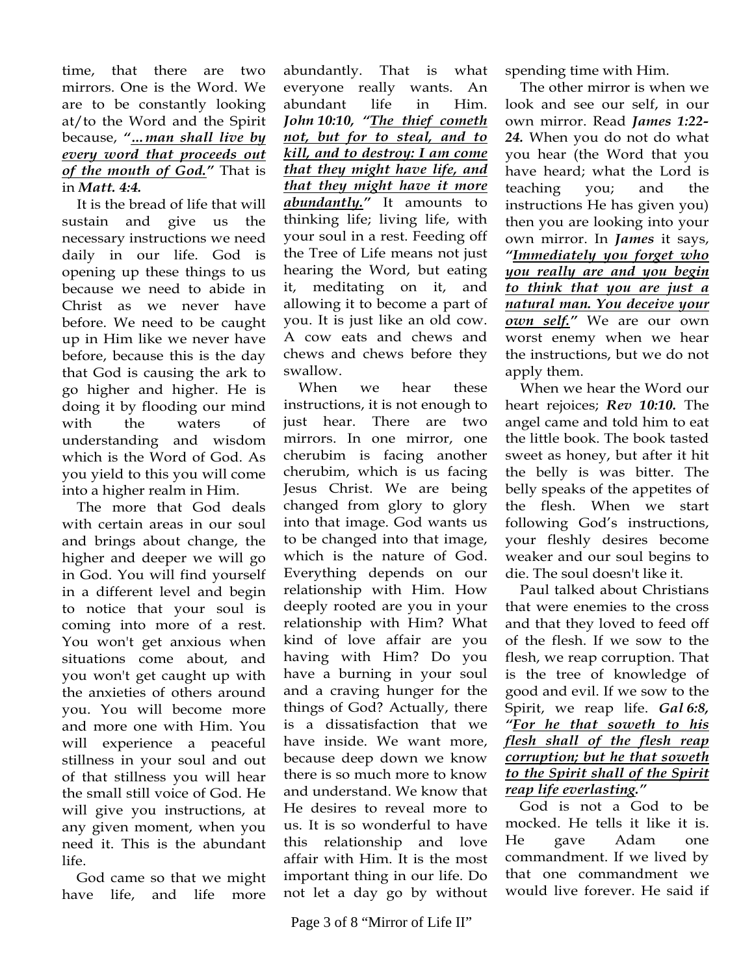## time, that there are two mirrors. One is the Word. We are to be constantly looking at/to the Word and the Spirit because, *"…man shall live by every word that proceeds out of the mouth of God."* That is in *Matt. 4:4.*

It is the bread of life that will sustain and give us the necessary instructions we need daily in our life. God is opening up these things to us because we need to abide in Christ as we never have before. We need to be caught up in Him like we never have before, because this is the day that God is causing the ark to go higher and higher. He is doing it by flooding our mind with the waters of understanding and wisdom which is the Word of God. As you yield to this you will come into a higher realm in Him.

 The more that God deals with certain areas in our soul and brings about change, the higher and deeper we will go in God. You will find yourself in a different level and begin to notice that your soul is coming into more of a rest. You won't get anxious when situations come about, and you won't get caught up with the anxieties of others around you. You will become more and more one with Him. You will experience a peaceful stillness in your soul and out of that stillness you will hear the small still voice of God. He will give you instructions, at any given moment, when you need it. This is the abundant life.

 God came so that we might have life, and life more

abundantly. That is what everyone really wants. An abundant life in Him. *John 10:10, "The thief cometh not, but for to steal, and to kill, and to destroy: I am come that they might have life, and that they might have it more abundantly."* It amounts to thinking life; living life, with your soul in a rest. Feeding off the Tree of Life means not just hearing the Word, but eating it, meditating on it, and allowing it to become a part of you. It is just like an old cow. A cow eats and chews and chews and chews before they swallow.

 When we hear these instructions, it is not enough to just hear. There are two mirrors. In one mirror, one cherubim is facing another cherubim, which is us facing Jesus Christ. We are being changed from glory to glory into that image. God wants us to be changed into that image, which is the nature of God. Everything depends on our relationship with Him. How deeply rooted are you in your relationship with Him? What kind of love affair are you having with Him? Do you have a burning in your soul and a craving hunger for the things of God? Actually, there is a dissatisfaction that we have inside. We want more, because deep down we know there is so much more to know and understand. We know that He desires to reveal more to us. It is so wonderful to have this relationship and love affair with Him. It is the most important thing in our life. Do not let a day go by without

spending time with Him.

 The other mirror is when we look and see our self, in our own mirror. Read *James 1:22- 24.* When you do not do what you hear (the Word that you have heard; what the Lord is teaching you; and the instructions He has given you) then you are looking into your own mirror. In *James* it says, *"Immediately you forget who you really are and you begin to think that you are just a natural man. You deceive your own self."* We are our own worst enemy when we hear the instructions, but we do not apply them.

 When we hear the Word our heart rejoices; *Rev 10:10.* The angel came and told him to eat the little book. The book tasted sweet as honey, but after it hit the belly is was bitter. The belly speaks of the appetites of the flesh. When we start following God's instructions, your fleshly desires become weaker and our soul begins to die. The soul doesn't like it.

 Paul talked about Christians that were enemies to the cross and that they loved to feed off of the flesh. If we sow to the flesh, we reap corruption. That is the tree of knowledge of good and evil. If we sow to the Spirit, we reap life. *Gal 6:8, "For he that soweth to his flesh shall of the flesh reap corruption; but he that soweth to the Spirit shall of the Spirit reap life everlasting."* 

 God is not a God to be mocked. He tells it like it is. He gave Adam one commandment. If we lived by that one commandment we would live forever. He said if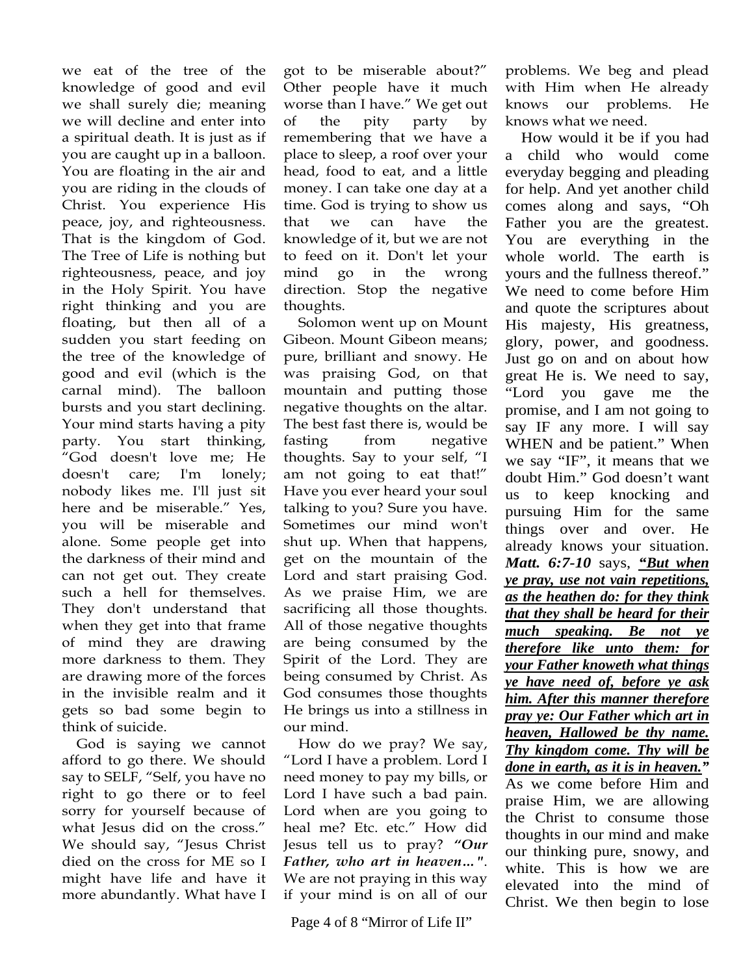we eat of the tree of the knowledge of good and evil we shall surely die; meaning we will decline and enter into a spiritual death. It is just as if you are caught up in a balloon. You are floating in the air and you are riding in the clouds of Christ. You experience His peace, joy, and righteousness. That is the kingdom of God. The Tree of Life is nothing but righteousness, peace, and joy in the Holy Spirit. You have right thinking and you are floating, but then all of a sudden you start feeding on the tree of the knowledge of good and evil (which is the carnal mind). The balloon bursts and you start declining. Your mind starts having a pity party. You start thinking, "God doesn't love me; He doesn't care; I'm lonely; nobody likes me. I'll just sit here and be miserable." Yes, you will be miserable and alone. Some people get into the darkness of their mind and can not get out. They create such a hell for themselves. They don't understand that when they get into that frame of mind they are drawing more darkness to them. They are drawing more of the forces in the invisible realm and it gets so bad some begin to think of suicide.

 God is saying we cannot afford to go there. We should say to SELF, "Self, you have no right to go there or to feel sorry for yourself because of what Jesus did on the cross." We should say, "Jesus Christ died on the cross for ME so I might have life and have it more abundantly. What have I

got to be miserable about?" Other people have it much worse than I have." We get out of the pity party by remembering that we have a place to sleep, a roof over your head, food to eat, and a little money. I can take one day at a time. God is trying to show us that we can have the knowledge of it, but we are not to feed on it. Don't let your mind go in the wrong direction. Stop the negative thoughts.

 Solomon went up on Mount Gibeon. Mount Gibeon means; pure, brilliant and snowy. He was praising God, on that mountain and putting those negative thoughts on the altar. The best fast there is, would be fasting from negative thoughts. Say to your self, "I am not going to eat that!" Have you ever heard your soul talking to you? Sure you have. Sometimes our mind won't shut up. When that happens, get on the mountain of the Lord and start praising God. As we praise Him, we are sacrificing all those thoughts. All of those negative thoughts are being consumed by the Spirit of the Lord. They are being consumed by Christ. As God consumes those thoughts He brings us into a stillness in our mind.

 How do we pray? We say, "Lord I have a problem. Lord I need money to pay my bills, or Lord I have such a bad pain. Lord when are you going to heal me? Etc. etc." How did Jesus tell us to pray? *"Our Father, who art in heaven…"*. We are not praying in this way if your mind is on all of our

problems. We beg and plead with Him when He already knows our problems. He knows what we need.

 How would it be if you had a child who would come everyday begging and pleading for help. And yet another child comes along and says, "Oh Father you are the greatest. You are everything in the whole world. The earth is yours and the fullness thereof." We need to come before Him and quote the scriptures about His majesty, His greatness, glory, power, and goodness. Just go on and on about how great He is. We need to say, "Lord you gave me the promise, and I am not going to say IF any more. I will say WHEN and be patient." When we say "IF", it means that we doubt Him." God doesn't want us to keep knocking and pursuing Him for the same things over and over. He already knows your situation. *Matt. 6:7-10* says, *"But when ye pray, use not vain repetitions, as the heathen do: for they think that they shall be heard for their much speaking. Be not ye therefore like unto them: for your Father knoweth what things ye have need of, before ye ask him. After this manner therefore pray ye: Our Father which art in heaven, Hallowed be thy name. Thy kingdom come. Thy will be done in earth, as it is in heaven."* As we come before Him and praise Him, we are allowing the Christ to consume those thoughts in our mind and make our thinking pure, snowy, and white. This is how we are elevated into the mind of Christ. We then begin to lose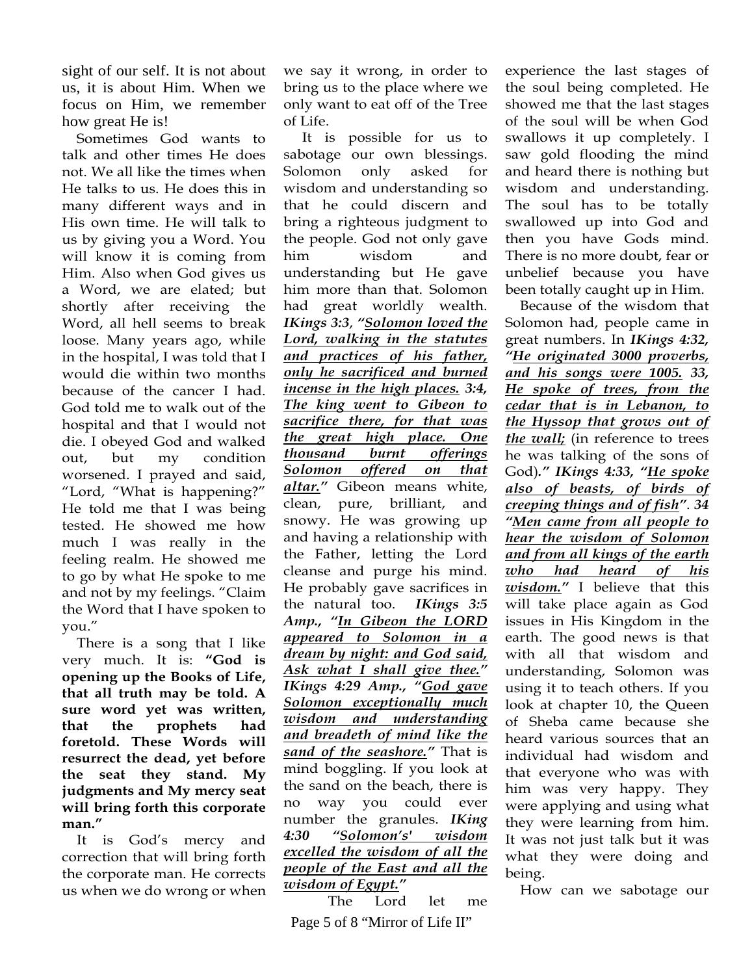sight of our self. It is not about us, it is about Him. When we focus on Him, we remember how great He is!

 Sometimes God wants to talk and other times He does not. We all like the times when He talks to us. He does this in many different ways and in His own time. He will talk to us by giving you a Word. You will know it is coming from Him. Also when God gives us a Word, we are elated; but shortly after receiving the Word, all hell seems to break loose. Many years ago, while in the hospital, I was told that I would die within two months because of the cancer I had. God told me to walk out of the hospital and that I would not die. I obeyed God and walked out, but my condition worsened. I prayed and said, "Lord, "What is happening?" He told me that I was being tested. He showed me how much I was really in the feeling realm. He showed me to go by what He spoke to me and not by my feelings. "Claim the Word that I have spoken to you."

 There is a song that I like very much. It is: **"God is opening up the Books of Life, that all truth may be told. A sure word yet was written, that the prophets had foretold. These Words will resurrect the dead, yet before the seat they stand. My judgments and My mercy seat will bring forth this corporate man."** 

 It is God's mercy and correction that will bring forth the corporate man. He corrects us when we do wrong or when we say it wrong, in order to bring us to the place where we only want to eat off of the Tree of Life.

 It is possible for us to sabotage our own blessings. Solomon only asked for wisdom and understanding so that he could discern and bring a righteous judgment to the people. God not only gave him wisdom and understanding but He gave him more than that. Solomon had great worldly wealth. *IKings 3:3*, *"Solomon loved the Lord, walking in the statutes and practices of his father, only he sacrificed and burned incense in the high places. 3:4, The king went to Gibeon to sacrifice there, for that was the great high place. One thousand burnt offerings Solomon offered on that altar."* Gibeon means white, clean, pure, brilliant, and snowy. He was growing up and having a relationship with the Father, letting the Lord cleanse and purge his mind. He probably gave sacrifices in the natural too. *IKings 3:5 Amp., "In Gibeon the LORD appeared to Solomon in a dream by night: and God said, Ask what I shall give thee." IKings 4:29 Amp., "God gave Solomon exceptionally much wisdom and understanding and breadeth of mind like the sand of the seashore."* That is mind boggling. If you look at the sand on the beach, there is no way you could ever number the granules. *IKing 4:30 "Solomon's' wisdom excelled the wisdom of all the people of the East and all the wisdom of Egypt."* 

 Page 5 of 8 "Mirror of Life II" The Lord let me experience the last stages of the soul being completed. He showed me that the last stages of the soul will be when God swallows it up completely. I saw gold flooding the mind and heard there is nothing but wisdom and understanding. The soul has to be totally swallowed up into God and then you have Gods mind. There is no more doubt, fear or unbelief because you have been totally caught up in Him.

 Because of the wisdom that Solomon had, people came in great numbers. In *IKings 4:32, "He originated 3000 proverbs, and his songs were 1005. 33, He spoke of trees, from the cedar that is in Lebanon, to the Hyssop that grows out of the wall;* (in reference to trees he was talking of the sons of God)*." IKings 4:33, "He spoke also of beasts, of birds of creeping things and of fish"*. *34 "Men came from all people to hear the wisdom of Solomon and from all kings of the earth who had heard of his wisdom."* I believe that this will take place again as God issues in His Kingdom in the earth. The good news is that with all that wisdom and understanding, Solomon was using it to teach others. If you look at chapter 10, the Queen of Sheba came because she heard various sources that an individual had wisdom and that everyone who was with him was very happy. They were applying and using what they were learning from him. It was not just talk but it was what they were doing and being.

How can we sabotage our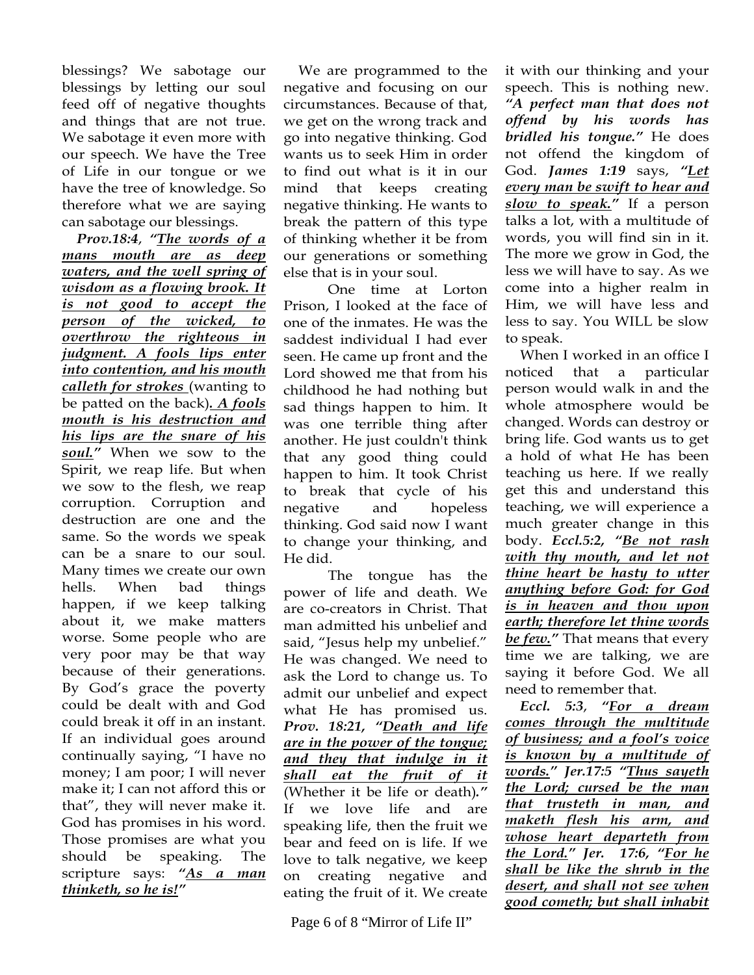blessings? We sabotage our blessings by letting our soul feed off of negative thoughts and things that are not true. We sabotage it even more with our speech. We have the Tree of Life in our tongue or we have the tree of knowledge. So therefore what we are saying can sabotage our blessings.

 *Prov.18:4*, *"The words of a mans mouth are as deep waters, and the well spring of wisdom as a flowing brook. It is not good to accept the person of the wicked, to overthrow the righteous in judgment. A fools lips enter into contention, and his mouth calleth for strokes* (wanting to be patted on the back)*. A fools mouth is his destruction and his lips are the snare of his soul."* When we sow to the Spirit, we reap life. But when we sow to the flesh, we reap corruption. Corruption and destruction are one and the same. So the words we speak can be a snare to our soul. Many times we create our own hells. When bad things happen, if we keep talking about it, we make matters worse. Some people who are very poor may be that way because of their generations. By God's grace the poverty could be dealt with and God could break it off in an instant. If an individual goes around continually saying, "I have no money; I am poor; I will never make it; I can not afford this or that", they will never make it. God has promises in his word. Those promises are what you should be speaking. The scripture says: *"As a man thinketh, so he is!"* 

We are programmed to the negative and focusing on our circumstances. Because of that, we get on the wrong track and go into negative thinking. God wants us to seek Him in order to find out what is it in our mind that keeps creating negative thinking. He wants to break the pattern of this type of thinking whether it be from our generations or something else that is in your soul.

One time at Lorton Prison, I looked at the face of one of the inmates. He was the saddest individual I had ever seen. He came up front and the Lord showed me that from his childhood he had nothing but sad things happen to him. It was one terrible thing after another. He just couldn't think that any good thing could happen to him. It took Christ to break that cycle of his negative and hopeless thinking. God said now I want to change your thinking, and He did.

The tongue has the power of life and death. We are co-creators in Christ. That man admitted his unbelief and said, "Jesus help my unbelief." He was changed. We need to ask the Lord to change us. To admit our unbelief and expect what He has promised us. *Prov. 18:21, "Death and life are in the power of the tongue; and they that indulge in it shall eat the fruit of it* (Whether it be life or death)*."* If we love life and are speaking life, then the fruit we bear and feed on is life. If we love to talk negative, we keep on creating negative and eating the fruit of it. We create

Page 6 of 8 "Mirror of Life II"

it with our thinking and your speech. This is nothing new. *"A perfect man that does not offend by his words has bridled his tongue."* He does not offend the kingdom of God. *James 1:19* says, *"Let every man be swift to hear and slow to speak."* If a person talks a lot, with a multitude of words, you will find sin in it. The more we grow in God, the less we will have to say. As we come into a higher realm in Him, we will have less and less to say. You WILL be slow to speak.

 When I worked in an office I noticed that a particular person would walk in and the whole atmosphere would be changed. Words can destroy or bring life. God wants us to get a hold of what He has been teaching us here. If we really get this and understand this teaching, we will experience a much greater change in this body. *Eccl.5:2, "Be not rash with thy mouth, and let not thine heart be hasty to utter anything before God: for God is in heaven and thou upon earth; therefore let thine words be few."* That means that every time we are talking, we are saying it before God. We all need to remember that.

 *Eccl. 5:3*, *"For a dream comes through the multitude of business; and a fool's voice is known by a multitude of words." Jer.17:5 "Thus sayeth the Lord; cursed be the man that trusteth in man, and maketh flesh his arm, and whose heart departeth from the Lord." Jer. 17:6, "For he shall be like the shrub in the desert, and shall not see when good cometh; but shall inhabit*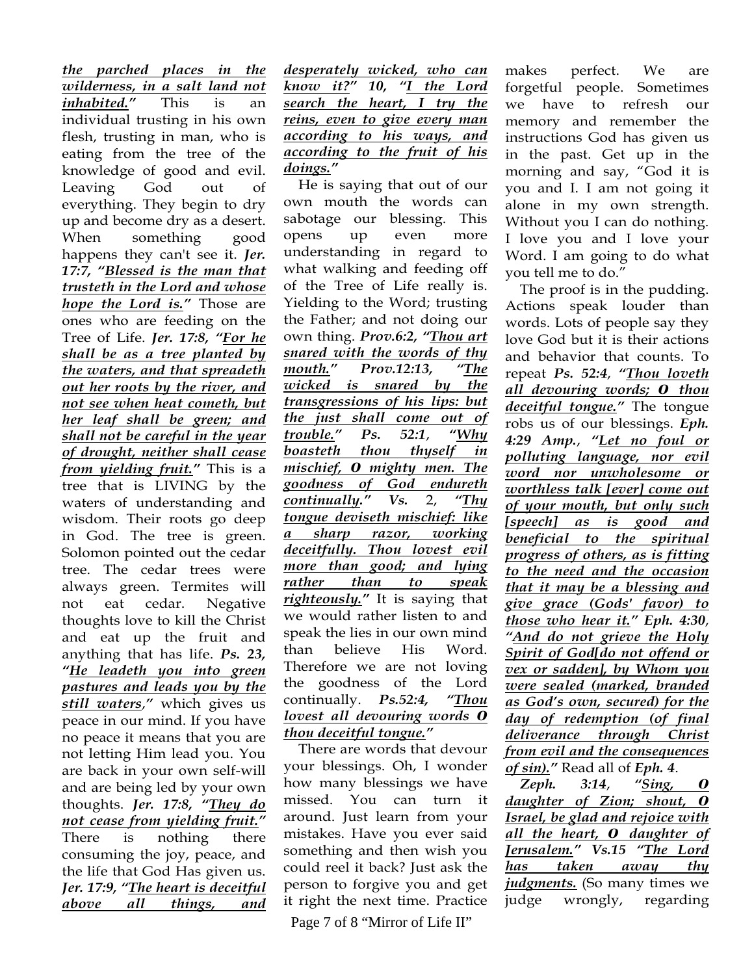*the parched places in the wilderness, in a salt land not inhabited."* This is an individual trusting in his own flesh, trusting in man, who is eating from the tree of the knowledge of good and evil. Leaving God out of everything. They begin to dry up and become dry as a desert. When something good happens they can't see it. *Jer. 17:7, "Blessed is the man that trusteth in the Lord and whose hope the Lord is."* Those are ones who are feeding on the Tree of Life. *Jer. 17:8, "For he shall be as a tree planted by the waters, and that spreadeth out her roots by the river, and not see when heat cometh, but her leaf shall be green; and shall not be careful in the year of drought, neither shall cease from yielding fruit."* This is a tree that is LIVING by the waters of understanding and wisdom. Their roots go deep in God. The tree is green. Solomon pointed out the cedar tree. The cedar trees were always green. Termites will not eat cedar. Negative thoughts love to kill the Christ and eat up the fruit and anything that has life. *Ps. 23, "He leadeth you into green pastures and leads you by the still waters*,*"* which gives us peace in our mind. If you have no peace it means that you are not letting Him lead you. You are back in your own self-will and are being led by your own thoughts. *Jer. 17:8, "They do not cease from yielding fruit."*  There is nothing there consuming the joy, peace, and the life that God Has given us. *Jer. 17:9, "The heart is deceitful above all things, and* 

*desperately wicked, who can know it?" 10, "I the Lord search the heart, I try the reins, even to give every man according to his ways, and according to the fruit of his doings."* 

 He is saying that out of our own mouth the words can sabotage our blessing. This opens up even more understanding in regard to what walking and feeding off of the Tree of Life really is. Yielding to the Word; trusting the Father; and not doing our own thing. *Prov.6:2, "Thou art snared with the words of thy mouth." Prov.12:13, "The wicked is snared by the transgressions of his lips: but the just shall come out of trouble." Ps. 52:1*, *"Why boasteth thou thyself in mischief, 0 mighty men. The goodness of God endureth continually." Vs.* 2, *"Thy tongue deviseth mischief: like a sharp razor, working deceitfully. Thou lovest evil more than good; and lying rather than to speak righteously."* It is saying that we would rather listen to and speak the lies in our own mind than believe His Word. Therefore we are not loving the goodness of the Lord continually. *Ps.52:4, "Thou lovest all devouring words 0 thou deceitful tongue."* 

 There are words that devour your blessings. Oh, I wonder how many blessings we have missed. You can turn it around. Just learn from your mistakes. Have you ever said something and then wish you could reel it back? Just ask the person to forgive you and get it right the next time. Practice

Page 7 of 8 "Mirror of Life II"

makes perfect. We are forgetful people. Sometimes we have to refresh our memory and remember the instructions God has given us in the past. Get up in the morning and say, "God it is you and I. I am not going it alone in my own strength. Without you I can do nothing. I love you and I love your Word. I am going to do what you tell me to do."

 The proof is in the pudding. Actions speak louder than words. Lots of people say they love God but it is their actions and behavior that counts. To repeat *Ps. 52:4*, *"Thou loveth all devouring words; 0 thou deceitful tongue."* The tongue robs us of our blessings. *Eph. 4:29 Amp.*, *"Let no foul or polluting language, nor evil word nor unwholesome or worthless talk [ever] come out of your mouth, but only such [speech] as is good and beneficial to the spiritual progress of others, as is fitting to the need and the occasion that it may be a blessing and give grace (Gods' favor) to those who hear it." Eph. 4:30*, *"And do not grieve the Holy Spirit of God[do not offend or vex or sadden], by Whom you were sealed (marked, branded as God's own, secured) for the day of redemption (of final deliverance through Christ from evil and the consequences of sin)."* Read all of *Eph. 4*.

 *Zeph. 3:14*, *"Sing, 0 daughter of Zion; shout, 0 Israel, be glad and rejoice with all the heart, 0 daughter of Jerusalem." Vs.15 "The Lord has taken away thy judgments.* (So many times we judge wrongly, regarding